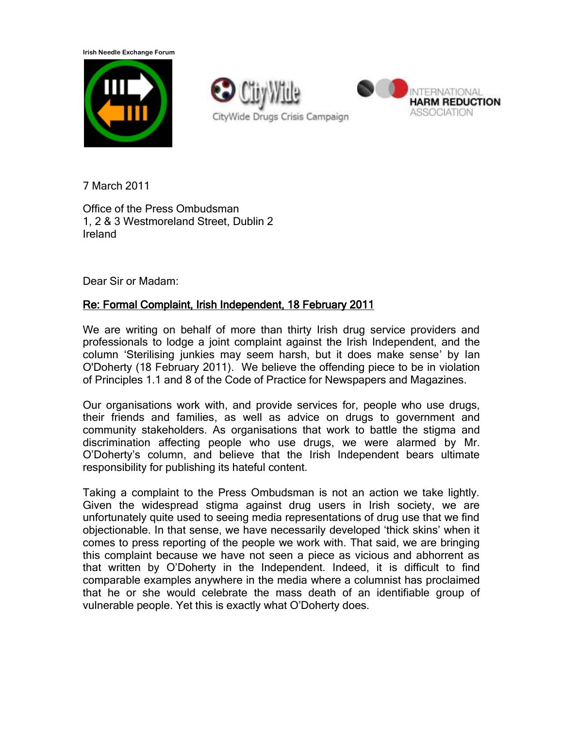**Irish Needle Exchange Forum**





7 March 2011

Office of the Press Ombudsman 1, 2 & 3 Westmoreland Street, Dublin 2 Ireland

Dear Sir or Madam:

## Re: Formal Complaint, Irish Independent, 18 February 2011

We are writing on behalf of more than thirty Irish drug service providers and professionals to lodge a joint complaint against the Irish Independent, and the column "Sterilising junkies may seem harsh, but it does make sense" by Ian O'Doherty (18 February 2011). We believe the offending piece to be in violation of Principles 1.1 and 8 of the Code of Practice for Newspapers and Magazines.

Our organisations work with, and provide services for, people who use drugs, their friends and families, as well as advice on drugs to government and community stakeholders. As organisations that work to battle the stigma and discrimination affecting people who use drugs, we were alarmed by Mr. O"Doherty"s column, and believe that the Irish Independent bears ultimate responsibility for publishing its hateful content.

Taking a complaint to the Press Ombudsman is not an action we take lightly. Given the widespread stigma against drug users in Irish society, we are unfortunately quite used to seeing media representations of drug use that we find objectionable. In that sense, we have necessarily developed "thick skins" when it comes to press reporting of the people we work with. That said, we are bringing this complaint because we have not seen a piece as vicious and abhorrent as that written by O"Doherty in the Independent. Indeed, it is difficult to find comparable examples anywhere in the media where a columnist has proclaimed that he or she would celebrate the mass death of an identifiable group of vulnerable people. Yet this is exactly what O"Doherty does.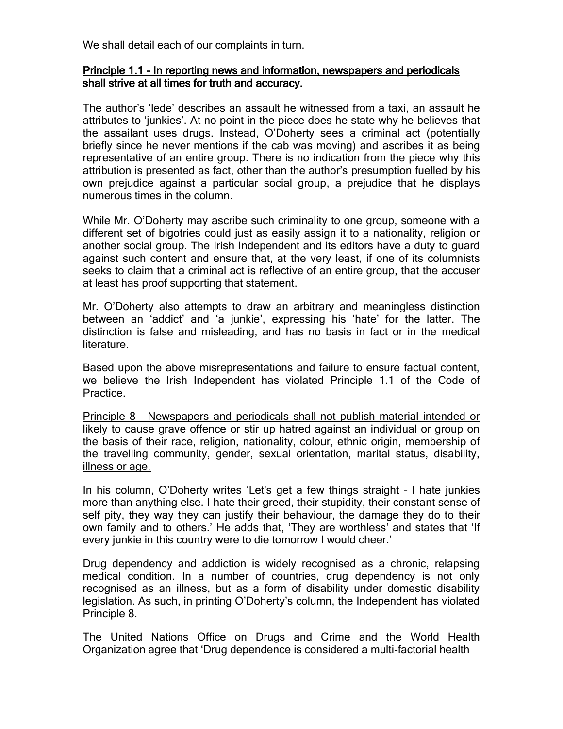We shall detail each of our complaints in turn.

## Principle 1.1 - In reporting news and information, newspapers and periodicals shall strive at all times for truth and accuracy.

The author"s "lede" describes an assault he witnessed from a taxi, an assault he attributes to "junkies". At no point in the piece does he state why he believes that the assailant uses drugs. Instead, O"Doherty sees a criminal act (potentially briefly since he never mentions if the cab was moving) and ascribes it as being representative of an entire group. There is no indication from the piece why this attribution is presented as fact, other than the author"s presumption fuelled by his own prejudice against a particular social group, a prejudice that he displays numerous times in the column.

While Mr. O"Doherty may ascribe such criminality to one group, someone with a different set of bigotries could just as easily assign it to a nationality, religion or another social group. The Irish Independent and its editors have a duty to guard against such content and ensure that, at the very least, if one of its columnists seeks to claim that a criminal act is reflective of an entire group, that the accuser at least has proof supporting that statement.

Mr. O"Doherty also attempts to draw an arbitrary and meaningless distinction between an "addict" and "a junkie", expressing his "hate" for the latter. The distinction is false and misleading, and has no basis in fact or in the medical literature.

Based upon the above misrepresentations and failure to ensure factual content, we believe the Irish Independent has violated Principle 1.1 of the Code of Practice.

Principle 8 – Newspapers and periodicals shall not publish material intended or likely to cause grave offence or stir up hatred against an individual or group on the basis of their race, religion, nationality, colour, ethnic origin, membership of the travelling community, gender, sexual orientation, marital status, disability, illness or age.

In his column, O"Doherty writes "Let's get a few things straight – I hate junkies more than anything else. I hate their greed, their stupidity, their constant sense of self pity, they way they can justify their behaviour, the damage they do to their own family and to others.' He adds that, 'They are worthless' and states that 'If every junkie in this country were to die tomorrow I would cheer.'

Drug dependency and addiction is widely recognised as a chronic, relapsing medical condition. In a number of countries, drug dependency is not only recognised as an illness, but as a form of disability under domestic disability legislation. As such, in printing O"Doherty"s column, the Independent has violated Principle 8.

The United Nations Office on Drugs and Crime and the World Health Organization agree that "Drug dependence is considered a multi-factorial health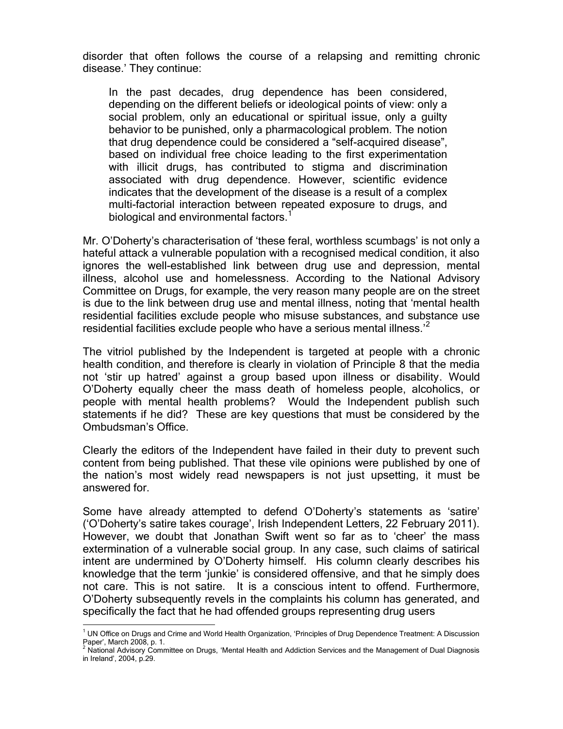disorder that often follows the course of a relapsing and remitting chronic disease.' They continue:

In the past decades, drug dependence has been considered, depending on the different beliefs or ideological points of view: only a social problem, only an educational or spiritual issue, only a guilty behavior to be punished, only a pharmacological problem. The notion that drug dependence could be considered a "self-acquired disease", based on individual free choice leading to the first experimentation with illicit drugs, has contributed to stigma and discrimination associated with drug dependence. However, scientific evidence indicates that the development of the disease is a result of a complex multi-factorial interaction between repeated exposure to drugs, and biological and environmental factors.<sup>1</sup>

Mr. O"Doherty"s characterisation of "these feral, worthless scumbags" is not only a hateful attack a vulnerable population with a recognised medical condition, it also ignores the well-established link between drug use and depression, mental illness, alcohol use and homelessness. According to the National Advisory Committee on Drugs, for example, the very reason many people are on the street is due to the link between drug use and mental illness, noting that "mental health residential facilities exclude people who misuse substances, and substance use residential facilities exclude people who have a serious mental illness.<sup>''</sup>

The vitriol published by the Independent is targeted at people with a chronic health condition, and therefore is clearly in violation of Principle 8 that the media not "stir up hatred" against a group based upon illness or disability. Would O"Doherty equally cheer the mass death of homeless people, alcoholics, or people with mental health problems? Would the Independent publish such statements if he did? These are key questions that must be considered by the Ombudsman"s Office.

Clearly the editors of the Independent have failed in their duty to prevent such content from being published. That these vile opinions were published by one of the nation"s most widely read newspapers is not just upsetting, it must be answered for.

Some have already attempted to defend O'Doherty's statements as 'satire' ("O"Doherty"s satire takes courage", Irish Independent Letters, 22 February 2011). However, we doubt that Jonathan Swift went so far as to "cheer" the mass extermination of a vulnerable social group. In any case, such claims of satirical intent are undermined by O"Doherty himself. His column clearly describes his knowledge that the term "junkie" is considered offensive, and that he simply does not care. This is not satire. It is a conscious intent to offend. Furthermore, O"Doherty subsequently revels in the complaints his column has generated, and specifically the fact that he had offended groups representing drug users

 $\overline{a}$ 

<sup>&</sup>lt;sup>1</sup> UN Office on Drugs and Crime and World Health Organization, 'Principles of Drug Dependence Treatment: A Discussion Paper", March 2008, p. 1.

<sup>2</sup> National Advisory Committee on Drugs, "Mental Health and Addiction Services and the Management of Dual Diagnosis in Ireland", 2004, p.29.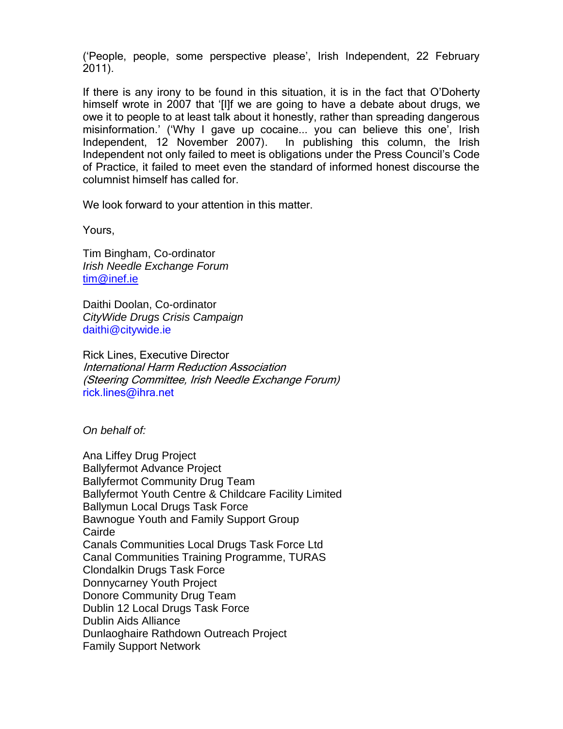("People, people, some perspective please", Irish Independent, 22 February 2011).

If there is any irony to be found in this situation, it is in the fact that O"Doherty himself wrote in 2007 that "[I]f we are going to have a debate about drugs, we owe it to people to at least talk about it honestly, rather than spreading dangerous misinformation.' ('Why I gave up cocaine... you can believe this one', Irish Independent, 12 November 2007). In publishing this column, the Irish Independent not only failed to meet is obligations under the Press Council"s Code of Practice, it failed to meet even the standard of informed honest discourse the columnist himself has called for.

We look forward to your attention in this matter.

Yours,

Tim Bingham, Co-ordinator *Irish Needle Exchange Forum* [tim@inef.ie](mailto:tim@inef.ie)

Daithi Doolan, Co-ordinator *CityWide Drugs Crisis Campaign* daithi@citywide.ie

Rick Lines, Executive Director International Harm Reduction Association (Steering Committee, Irish Needle Exchange Forum) rick.lines@ihra.net

*On behalf of:*

Ana Liffey Drug Project Ballyfermot Advance Project Ballyfermot Community Drug Team Ballyfermot Youth Centre & Childcare Facility Limited Ballymun Local Drugs Task Force Bawnogue Youth and Family Support Group **Cairde** Canals Communities Local Drugs Task Force Ltd Canal Communities Training Programme, TURAS Clondalkin Drugs Task Force Donnycarney Youth Project Donore Community Drug Team Dublin 12 Local Drugs Task Force Dublin Aids Alliance Dunlaoghaire Rathdown Outreach Project Family Support Network